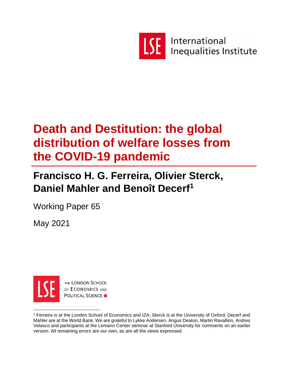

International Inequalities Institute

# **Death and Destitution: the global distribution of welfare losses from the COVID-19 pandemic**

# **Francisco H. G. Ferreira, Olivier Sterck, Daniel Mahler and Benoît Decerf<sup>1</sup>**

Working Paper 65

May 2021



THE LONDON SCHOOL OF ECONOMICS AND **POLITICAL SCIENCE** 

<sup>1</sup> Ferreira is at the London School of Economics and IZA; Sterck is at the University of Oxford; Decerf and Mahler are at the World Bank. We are grateful to Lykke Andersen, Angus Deaton, Martin Ravallion, Andres Velasco and participants at the Lemann Center seminar at Stanford University for comments on an earlier version. All remaining errors are our own, as are all the views expressed.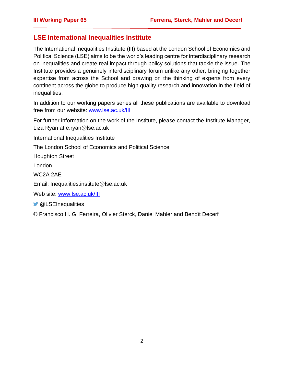## **LSE International Inequalities Institute**

The International Inequalities Institute (III) based at the London School of Economics and Political Science (LSE) aims to be the world's leading centre for interdisciplinary research on inequalities and create real impact through policy solutions that tackle the issue. The Institute provides a genuinely interdisciplinary forum unlike any other, bringing together expertise from across the School and drawing on the thinking of experts from every continent across the globe to produce high quality research and innovation in the field of inequalities.

In addition to our working papers series all these publications are available to download free from our website: [www.lse.ac.uk/III](http://www.lse.ac.uk/III)

For further information on the work of the Institute, please contact the Institute Manager, Liza Ryan at e.ryan@lse.ac.uk

International Inequalities Institute

The London School of Economics and Political Science

Houghton Street

London

WC2A 2AE

Email: Inequalities.institute@lse.ac.uk

Web site: [www.lse.ac.uk/III](http://www.lse.ac.uk/III)

**W** @LSEInequalities

© Francisco H. G. Ferreira, Olivier Sterck, Daniel Mahler and Benoît Decerf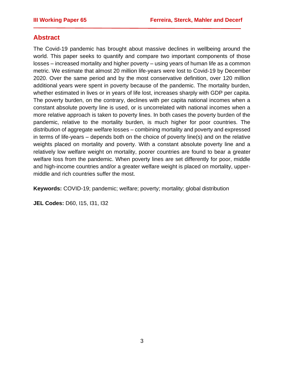# **Abstract**

The Covid-19 pandemic has brought about massive declines in wellbeing around the world. This paper seeks to quantify and compare two important components of those losses – increased mortality and higher poverty – using years of human life as a common metric. We estimate that almost 20 million life-years were lost to Covid-19 by December 2020. Over the same period and by the most conservative definition, over 120 million additional years were spent in poverty because of the pandemic. The mortality burden, whether estimated in lives or in years of life lost, increases sharply with GDP per capita. The poverty burden, on the contrary, declines with per capita national incomes when a constant absolute poverty line is used, or is uncorrelated with national incomes when a more relative approach is taken to poverty lines. In both cases the poverty burden of the pandemic, relative to the mortality burden, is much higher for poor countries. The distribution of aggregate welfare losses – combining mortality and poverty and expressed in terms of life-years – depends both on the choice of poverty line(s) and on the relative weights placed on mortality and poverty. With a constant absolute poverty line and a relatively low welfare weight on mortality, poorer countries are found to bear a greater welfare loss from the pandemic. When poverty lines are set differently for poor, middle and high-income countries and/or a greater welfare weight is placed on mortality, uppermiddle and rich countries suffer the most.

**Keywords:** COVID-19; pandemic; welfare; poverty; mortality; global distribution

**JEL Codes:** D60, I15, I31, I32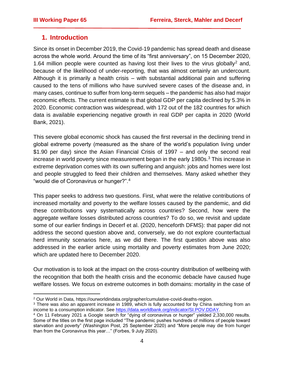### **1. Introduction**

Since its onset in December 2019, the Covid-19 pandemic has spread death and disease across the whole world. Around the time of its "first anniversary", on 15 December 2020, 1.64 million people were counted as having lost their lives to the virus globally<sup>2</sup> and, because of the likelihood of under-reporting, that was almost certainly an undercount. Although it is primarily a health crisis – with substantial additional pain and suffering caused to the tens of millions who have survived severe cases of the disease and, in many cases, continue to suffer from long-term sequels – the pandemic has also had major economic effects. The current estimate is that global GDP per capita declined by 5.3% in 2020. Economic contraction was widespread, with 172 out of the 182 countries for which data is available experiencing negative growth in real GDP per capita in 2020 (World Bank, 2021).

This severe global economic shock has caused the first reversal in the declining trend in global extreme poverty (measured as the share of the world's population living under \$1.90 per day) since the Asian Financial Crisis of 1997 – and only the second real increase in world poverty since measurement began in the early 1980s. $3$  This increase in extreme deprivation comes with its own suffering and anguish: jobs and homes were lost and people struggled to feed their children and themselves. Many asked whether they "would die of Coronavirus or hunger?".<sup>4</sup>

This paper seeks to address two questions. First, what were the relative contributions of increased mortality and poverty to the welfare losses caused by the pandemic, and did these contributions vary systematically across countries? Second, how were the aggregate welfare losses distributed across countries? To do so, we revisit and update some of our earlier findings in Decerf et al. (2020, henceforth DFMS): that paper did not address the second question above and, conversely, we do not explore counterfactual herd immunity scenarios here, as we did there. The first question above was also addressed in the earlier article using mortality and poverty estimates from June 2020; which are updated here to December 2020.

Our motivation is to look at the impact on the cross-country distribution of wellbeing with the recognition that both the health crisis and the economic debacle have caused huge welfare losses. We focus on extreme outcomes in both domains: mortality in the case of

<sup>2</sup> Our World in Data, https://ourworldindata.org/grapher/cumulative-covid-deaths-region.

<sup>3</sup> There was also an apparent increase in 1989, which is fully accounted for by China switching from an income to a consumption indicator. See [https://data.worldbank.org/indicator/SI.POV.DDAY.](https://data.worldbank.org/indicator/SI.POV.DDAY)

<sup>4</sup> On 11 February 2021 a Google search for "dying of coronavirus or hunger" yielded 2,330,000 results. Some of the titles on the first page included "The pandemic pushes hundreds of millions of people toward starvation and poverty" (Washington Post, 25 September 2020) and "More people may die from hunger than from the Coronavirus this year…" (Forbes, 9 July 2020).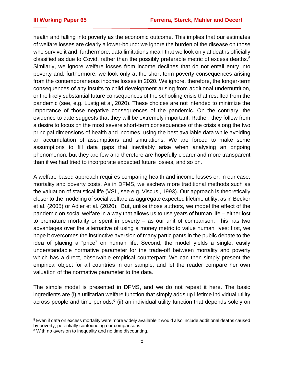health and falling into poverty as the economic outcome. This implies that our estimates of welfare losses are clearly a lower-bound: we ignore the burden of the disease on those who survive it and, furthermore, data limitations mean that we look only at deaths officially classified as due to Covid, rather than the possibly preferable metric of excess deaths.<sup>5</sup> Similarly, we ignore welfare losses from income declines that do not entail entry into poverty and, furthermore, we look only at the short-term poverty consequences arising from the contemporaneous income losses in 2020. We ignore, therefore, the longer-term consequences of any insults to child development arising from additional undernutrition, or the likely substantial future consequences of the schooling crisis that resulted from the pandemic (see, e.g. Lustig et al, 2020). These choices are not intended to minimize the importance of those negative consequences of the pandemic. On the contrary, the evidence to date suggests that they will be extremely important. Rather, they follow from a desire to focus on the most severe short-term consequences of the crisis along the two principal dimensions of health and incomes, using the best available data while avoiding an accumulation of assumptions and simulations. We are forced to make some assumptions to fill data gaps that inevitably arise when analysing an ongoing phenomenon, but they are few and therefore are hopefully clearer and more transparent than if we had tried to incorporate expected future losses, and so on.

A welfare-based approach requires comparing health and income losses or, in our case, mortality and poverty costs. As in DFMS, we eschew more traditional methods such as the valuation of statistical life (VSL, see e.g. Viscusi, 1993). Our approach is theoretically closer to the modeling of social welfare as aggregate expected lifetime utility, as in Becker et al. (2005) or Adler et al. (2020). But, unlike those authors, we model the effect of the pandemic on social welfare in a way that allows us to use years of human life – either lost to premature mortality or spent in poverty – as our unit of comparison. This has two advantages over the alternative of using a money metric to value human lives: first, we hope it overcomes the instinctive aversion of many participants in the public debate to the idea of placing a "price" on human life. Second, the model yields a single, easily understandable normative parameter for the trade-off between mortality and poverty which has a direct, observable empirical counterpart. We can then simply present the empirical object for all countries in our sample, and let the reader compare her own valuation of the normative parameter to the data.

The simple model is presented in DFMS, and we do not repeat it here. The basic ingredients are (i) a utilitarian welfare function that simply adds up lifetime individual utility across people and time periods;<sup>6</sup> (ii) an individual utility function that depends solely on

<sup>5</sup> Even if data on excess mortality were more widely available it would also include additional deaths caused by poverty, potentially confounding our comparisons.

<sup>&</sup>lt;sup>6</sup> With no aversion to inequality and no time discounting.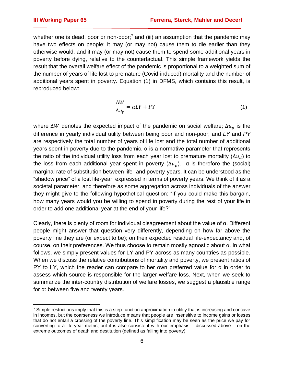whether one is dead, poor or non-poor;<sup>7</sup> and (iii) an assumption that the pandemic may have two effects on people: it may (or may not) cause them to die earlier than they otherwise would, and it may (or may not) cause them to spend some additional years in poverty before dying, relative to the counterfactual. This simple framework yields the result that the overall welfare effect of the pandemic is proportional to a weighted sum of the number of years of life lost to premature (Covid-induced) mortality and the number of additional years spent in poverty. Equation (1) in DFMS, which contains this result, is reproduced below:

$$
\frac{\Delta W}{\Delta u_p} = \alpha L Y + P Y \tag{1}
$$

where  $\Delta W$  denotes the expected impact of the pandemic on social welfare;  $\Delta u_n$  is the difference in yearly individual utility between being poor and non-poor; and *LY* and *PY* are respectively the total number of years of life lost and the total number of additional years spent in poverty due to the pandemic. α is a normative parameter that represents the ratio of the individual utility loss from each year lost to premature mortality ( $\Delta u_d$ ) to the loss from each additional year spent in poverty  $(\Delta u_n)$ .  $\alpha$  is therefore the (social) marginal rate of substitution between life- and poverty-years. It can be understood as the "shadow price" of a lost life-year, expressed in terms of poverty years. We think of it as a societal parameter, and therefore as some aggregation across individuals of the answer they might give to the following hypothetical question: "If you could make this bargain, how many years would you be willing to spend in poverty during the rest of your life in order to add one additional year at the end of your life?"

Clearly, there is plenty of room for individual disagreement about the value of α. Different people might answer that question very differently, depending on how far above the poverty line they are (or expect to be); on their expected residual life-expectancy and, of course, on their preferences. We thus choose to remain mostly agnostic about α. In what follows, we simply present values for LY and PY across as many countries as possible. When we discuss the relative contributions of mortality and poverty, we present ratios of PY to LY, which the reader can compare to her own preferred value for  $\alpha$  in order to assess which source is responsible for the larger welfare loss. Next, when we seek to summarize the inter-country distribution of welfare losses, we suggest a plausible range for α: between five and twenty years.

 $7$  Simple restrictions imply that this is a step-function approximation to utility that is increasing and concave in incomes, but the coarseness we introduce means that people are insensitive to income gains or losses that do not entail a crossing of the poverty line. This simplification may be seen as the price we pay for converting to a life-year metric, but it is also consistent with our emphasis – discussed above – on the extreme outcomes of death and destitution (defined as falling into poverty).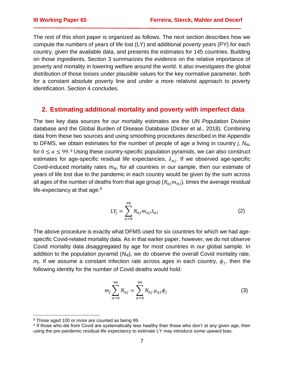The rest of this short paper is organized as follows. The next section describes how we compute the numbers of years of life lost (LY) and additional poverty years (PY) for each country, given the available data, and presents the estimates for 145 countries. Building on those ingredients, Section 3 summarizes the evidence on the relative importance of poverty and mortality in lowering welfare around the world. It also investigates the global distribution of those losses under plausible values for the key normative parameter, both for a constant absolute poverty line and under a more relativist approach to poverty identification. Section 4 concludes.

#### **2. Estimating additional mortality and poverty with imperfect data**

The two key data sources for our mortality estimates are the UN Population Division database and the Global Burden of Disease Database (Dicker et al., 2018). Combining data from these two sources and using smoothing procedures described in the Appendix to DFMS, we obtain estimates for the number of people of age *a* living in country *j*, *Naj*, for  $0 \le a \le 99.8$  Using these country-specific population pyramids, we can also construct estimates for age-specific residual life expectancies,  $\lambda_{ai}$ . If we observed age-specific Covid-induced mortality rates *maj*, for all countries in our sample, then our estimate of years of life lost due to the pandemic in each country would be given by the sum across all ages of the number of deaths from that age group  $(N_{ai}m_{ai})$ , times the average residual life-expectancy at that age:<sup>9</sup>

$$
LY_j = \sum_{a=0}^{99} N_{aj} m_{aj} \lambda_{aj}
$$
 (2)

The above procedure is exactly what DFMS used for six countries for which we had agespecific Covid-related mortality data. As in that earlier paper, however, we do not observe Covid mortality data disaggregated by age for most countries in our global sample. In addition to the population pyramid (*Naj*), we do observe the overall Covid mortality rate,  $m$ <sub>j</sub>. If we assume a constant infection rate across ages in each country,  $\phi_j$ , then the following identity for the number of Covid deaths would hold:

$$
m_j \sum_{a=0}^{99} N_{aj} = \sum_{a=0}^{99} N_{aj} \mu_{aj} \phi_j
$$
 (3)

<sup>8</sup> Those aged 100 or more are counted as being 99.

<sup>9</sup> If those who die from Covid are systematically less healthy than those who don't at any given age, then using the pre-pandemic residual life expectancy to estimate LY may introduce some upward bias.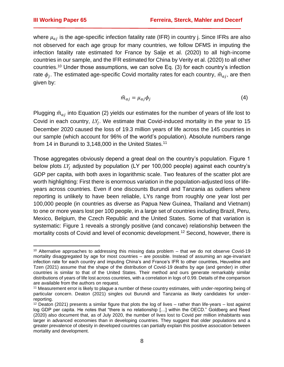where  $\mu_{ai}$  is the age-specific infection fatality rate (IFR) in country j. Since IFRs are also not observed for each age group for many countries, we follow DFMS in imputing the infection fatality rate estimated for France by Salje et al. (2020) to all high-income countries in our sample, and the IFR estimated for China by Verity et al. (2020) to all other countries.<sup>10</sup> Under those assumptions, we can solve Eq. (3) for each country's infection rate  $\phi_j$ . The estimated age-specific Covid mortality rates for each country,  $\widehat{m}_{aj},$  are then given by:

$$
\hat{m}_{aj} = \mu_{aj} \phi_j \tag{4}
$$

Plugging  $\hat{m}_{ai}$  into Equation (2) yields our estimates for the number of years of life lost to Covid in each country,  $LY_j$ . We estimate that Covid-induced mortality in the year to 15 December 2020 caused the loss of 19.3 million years of life across the 145 countries in our sample (which account for 96% of the world's population). Absolute numbers range from 14 in Burundi to 3,148,000 in the United States.<sup>11</sup>

Those aggregates obviously depend a great deal on the country's population. Figure 1 below plots  $LY_i$  adjusted by population (LY per 100,000 people) against each country's GDP per capita, with both axes in logarithmic scale. Two features of the scatter plot are worth highlighting: First there is enormous variation in the population-adjusted loss of lifeyears across countries. Even if one discounts Burundi and Tanzania as outliers where reporting is unlikely to have been reliable, LYs range from roughly one year lost per 100,000 people (in countries as diverse as Papua New Guinea, Thailand and Vietnam) to one or more years lost per 100 people, in a large set of countries including Brazil, Peru, Mexico, Belgium, the Czech Republic and the United States. Some of that variation is systematic: Figure 1 reveals a strongly positive (and concave) relationship between the mortality costs of Covid and level of economic development.<sup>12</sup> Second, however, there is

 $10$  Alternative approaches to addressing this missing data problem  $-$  that we do not observe Covid-19 mortality disaggregated by age for most countries – are possible. Instead of assuming an age-invariant infection rate for each country and imputing China's and France's IFR to other countries, Heuveline and Tzen (2021) assume that the shape of the distribution of Covid-19 deaths by age (and gender) in other countries is similar to that of the United States. Their method and ours generate remarkably similar distributions of years of life lost across countries, with a correlation in logs of 0.99. Details of the comparison are available from the authors on request.

<sup>11</sup> Measurement error is likely to plague a number of these country estimates, with under-reporting being of particular concern. Deaton (2021) singles out Burundi and Tanzania as likely candidates for underreporting.

 $12$  Deaton (2021) presents a similar figure that plots the log of lives – rather than life-years – lost against log GDP per capita. He notes that "there is no relationship […] within the OECD." Goldberg and Reed (2020) also document that, as of July 2020, the number of lives lost to Covid per million inhabitants was larger in advanced economies than in developing countries. They suggest that older populations and a greater prevalence of obesity in developed countries can partially explain this positive association between mortality and development.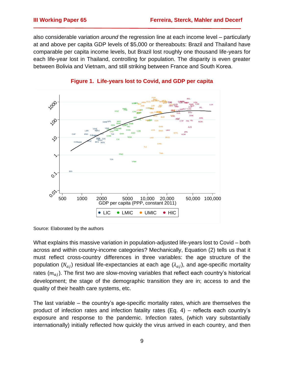also considerable variation *around* the regression line at each income level – particularly at and above per capita GDP levels of \$5,000 or thereabouts: Brazil and Thailand have comparable per capita income levels, but Brazil lost roughly one thousand life-years for each life-year lost in Thailand, controlling for population. The disparity is even greater between Bolivia and Vietnam, and still striking between France and South Korea.



#### **Figure 1. Life-years lost to Covid, and GDP per capita**

Source: Elaborated by the authors

What explains this massive variation in population-adjusted life-years lost to Covid – both across and within country-income categories? Mechanically, Equation (2) tells us that it must reflect cross-country differences in three variables: the age structure of the population  $(N_{ai})$  residual life-expectancies at each age  $(\lambda_{ai})$ , and age-specific mortality rates  $(m_{ai})$ . The first two are slow-moving variables that reflect each country's historical development; the stage of the demographic transition they are in; access to and the quality of their health care systems, etc.

The last variable – the country's age-specific mortality rates, which are themselves the product of infection rates and infection fatality rates (Eq. 4) – reflects each country's exposure and response to the pandemic. Infection rates, (which vary substantially internationally) initially reflected how quickly the virus arrived in each country, and then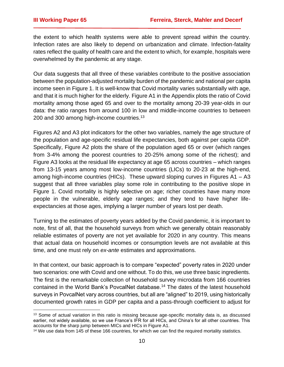the extent to which health systems were able to prevent spread within the country. Infection rates are also likely to depend on urbanization and climate. Infection-fatality rates reflect the quality of health care and the extent to which, for example, hospitals were overwhelmed by the pandemic at any stage.

Our data suggests that all three of these variables contribute to the positive association between the population-adjusted mortality burden of the pandemic and national per capita income seen in Figure 1. It is well-know that Covid mortality varies substantially with age, and that it is much higher for the elderly. Figure A1 in the Appendix plots the ratio of Covid mortality among those aged 65 and over to the mortality among 20-39 year-olds in our data: the ratio ranges from around 100 in low and middle-income countries to between 200 and 300 among high-income countries.<sup>13</sup>

Figures A2 and A3 plot indicators for the other two variables, namely the age structure of the population and age-specific residual life expectancies, both against per capita GDP. Specifically, Figure A2 plots the share of the population aged 65 or over (which ranges from 3-4% among the poorest countries to 20-25% among some of the richest); and Figure A3 looks at the residual life expectancy at age 65 across countries – which ranges from 13-15 years among most low-income countries (LICs) to 20-23 at the high-end, among high-income countries (HICs). These upward sloping curves in Figures  $A1 - A3$ suggest that all three variables play some role in contributing to the positive slope in Figure 1. Covid mortality is highly selective on age; richer countries have many more people in the vulnerable, elderly age ranges; and they tend to have higher lifeexpectancies at those ages, implying a larger number of years lost per death.

Turning to the estimates of poverty years added by the Covid pandemic, it is important to note, first of all, that the household surveys from which we generally obtain reasonably reliable estimates of poverty are not yet available for 2020 in any country. This means that actual data on household incomes or consumption levels are not available at this time, and one must rely on *ex-ante* estimates and approximations.

In that context, our basic approach is to compare "expected" poverty rates in 2020 under two scenarios: one with Covid and one without. To do this, we use three basic ingredients. The first is the remarkable collection of household survey microdata from 166 countries contained in the World Bank's PovcalNet database.<sup>14</sup> The dates of the latest household surveys in PovcalNet vary across countries, but all are "aligned" to 2019, using historically documented growth rates in GDP per capita and a pass-through coefficient to adjust for

<sup>&</sup>lt;sup>13</sup> Some of actual variation in this ratio is missing because age-specific mortality data is, as discussed earlier, not widely available, so we use France's IFR for all HICs, and China's for all other countries. This accounts for the sharp jump between MICs and HICs in Figure A1.

<sup>&</sup>lt;sup>14</sup> We use data from 145 of these 166 countries, for which we can find the required mortality statistics.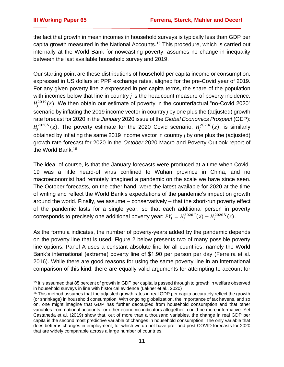the fact that growth in mean incomes in household surveys is typically less than GDP per capita growth measured in the National Accounts.<sup>15</sup> This procedure, which is carried out internally at the World Bank for nowcasting poverty, assumes no change in inequality between the last available household survey and 2019.

Our starting point are these distributions of household per capita income or consumption, expressed in US dollars at PPP exchange rates, aligned for the pre-Covid year of 2019. For any given poverty line *z* expressed in per capita terms, the share of the population with incomes below that line in country *j* is the headcount measure of poverty incidence,  $H_j^{2019}(z)$ . We then obtain our estimate of poverty in the counterfactual "no-Covid 2020" scenario by inflating the 2019 income vector in country *j* by one plus the (adjusted) growth rate forecast for 2020 in the *January* 2020 issue of the *Global Economics Prospect* (GEP):  $H_j^{2020N}(z)$ . The poverty estimate for the 2020 Covid scenario,  $H_j^{2020C}(z)$ , is similarly obtained by inflating the same 2019 income vector in country *j* by one plus the (adjusted) growth rate forecast for 2020 in the *October* 2020 Macro and Poverty Outlook report of the World Bank.<sup>16</sup>

The idea, of course, is that the January forecasts were produced at a time when Covid-19 was a little heard-of virus confined to Wuhan province in China, and no macroeconomist had remotely imagined a pandemic on the scale we have since seen. The October forecasts, on the other hand, were the latest available for 2020 at the time of writing and reflect the World Bank's expectations of the pandemic's impact on growth around the world. Finally, we assume – conservatively – that the short-run poverty effect of the pandemic lasts for a single year, so that each additional person in poverty corresponds to precisely one additional poverty year:  $PY_j = H_j^{2020C}(z) - H_j^{2020N}(z).$ 

As the formula indicates, the number of poverty-years added by the pandemic depends on the poverty line that is used. Figure 2 below presents two of many possible poverty line options: Panel A uses a constant absolute line for all countries, namely the World Bank's international (extreme) poverty line of \$1.90 per person per day (Ferreira et al. 2016). While there are good reasons for using the same poverty line in an international comparison of this kind, there are equally valid arguments for attempting to account for

<sup>&</sup>lt;sup>15</sup> It is assumed that 85 percent of growth in GDP per capita is passed through to growth in welfare observed in household surveys in line with historical evidence (Lakner et al., 2020)

<sup>&</sup>lt;sup>16</sup> This method assumes that the adjusted growth rates in real GDP per capita accurately reflect the growth (or shrinkage) in household consumption. With ongoing globalization, the importance of tax havens, and so on, one might imagine that GDP has further decoupled from household consumption and that other variables from national accounts--or other economic indicators altogether--could be more informative. Yet Castaneda et al. (2019) show that, out of more than a thousand variables, the change in real GDP per capita is the second most predictive variable of changes in household consumption. The only variable that does better is changes in employment, for which we do not have pre- and post-COVID forecasts for 2020 that are widely comparable across a large number of countries.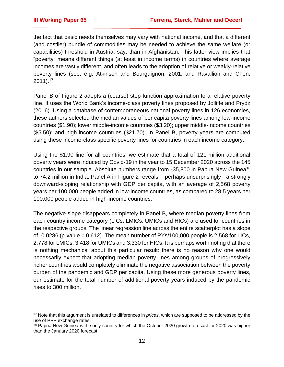the fact that basic needs themselves may vary with national income, and that a different (and costlier) bundle of commodities may be needed to achieve the same welfare (or capabilities) threshold in Austria, say, than in Afghanistan. This latter view implies that "poverty" means different things (at least in income terms) in countries where average incomes are vastly different, and often leads to the adoption of relative or weakly-relative poverty lines (see, e.g. Atkinson and Bourguignon, 2001, and Ravallion and Chen, 2011).<sup>17</sup>

Panel B of Figure 2 adopts a (coarse) step-function approximation to a relative poverty line. It uses the World Bank's income-class poverty lines proposed by Jolliffe and Prydz (2016). Using a database of contemporaneous national poverty lines in 126 economies, these authors selected the median values of per capita poverty lines among low-income countries (\$1.90); lower middle-income countries (\$3.20); upper middle-income countries (\$5.50); and high-income countries (\$21.70). In Panel B, poverty years are computed using these income-class specific poverty lines for countries in each income category.

Using the \$1.90 line for all countries, we estimate that a total of 121 million additional poverty years were induced by Covid-19 in the year to 15 December 2020 across the 145 countries in our sample. Absolute numbers range from -35,800 in Papua New Guinea<sup>18</sup> to 74.2 million in India. Panel A in Figure 2 reveals – perhaps unsurprisingly - a strongly downward-sloping relationship with GDP per capita, with an average of 2,568 poverty years per 100,000 people added in low-income countries, as compared to 28.5 years per 100,000 people added in high-income countries.

The negative slope disappears completely in Panel B, where median poverty lines from each country income category (LICs, LMICs, UMICs and HICs) are used for countries in the respective groups. The linear regression line across the entire scatterplot has a slope of  $-0.0286$  (p-value = 0.612). The mean number of PYs/100,000 people is 2,568 for LICs, 2,778 for LMICs, 3,418 for UMICs and 3,330 for HICs. It is perhaps worth noting that there is nothing mechanical about this particular result: there is no reason why one would necessarily expect that adopting median poverty lines among groups of progressively richer countries would completely eliminate the negative association between the poverty burden of the pandemic and GDP per capita. Using these more generous poverty lines, our estimate for the total number of additional poverty years induced by the pandemic rises to 300 million.

<sup>17</sup> Note that this argument is unrelated to differences in *prices*, which are supposed to be addressed by the use of PPP exchange rates.

<sup>&</sup>lt;sup>18</sup> Papua New Guinea is the only country for which the October 2020 growth forecast for 2020 was higher than the January 2020 forecast.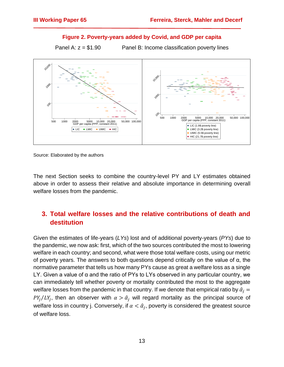#### **Figure 2. Poverty-years added by Covid, and GDP per capita**

Panel A:  $z = $1.90$  Panel B: Income classification poverty lines



Source: Elaborated by the authors

The next Section seeks to combine the country-level PY and LY estimates obtained above in order to assess their relative and absolute importance in determining overall welfare losses from the pandemic.

# **3. Total welfare losses and the relative contributions of death and destitution**

Given the estimates of life-years (*LYs*) lost and of additional poverty-years (*PYs*) due to the pandemic, we now ask: first, which of the two sources contributed the most to lowering welfare in each country; and second, what were those total welfare costs, using our metric of poverty years. The answers to both questions depend critically on the value of α, the normative parameter that tells us how many PYs cause as great a welfare loss as a single LY. Given a value of α and the ratio of PYs to LYs observed in any particular country, we can immediately tell whether poverty or mortality contributed the most to the aggregate welfare losses from the pandemic in that country. If we denote that empirical ratio by  $\hat{\alpha}_i =$  $PY_j/LY_j$ , then an observer with  $\alpha > \hat{\alpha}_j$  will regard mortality as the principal source of welfare loss in country j. Conversely, if  $\alpha<\hat\alpha_j$ , poverty is considered the greatest source of welfare loss.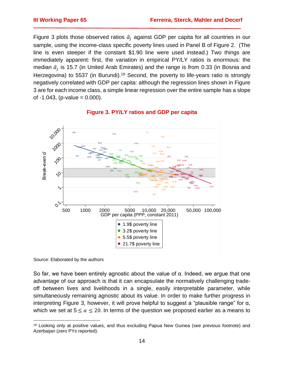Figure 3 plots those observed ratios  $\hat{\alpha}_i$  against GDP per capita for all countries in our sample, using the income-class specific poverty lines used in Panel B of Figure 2. (The line is even steeper if the constant \$1.90 line were used instead.) Two things are immediately apparent: first, the variation in empirical PY/LY ratios is enormous: the median  $\hat{\alpha}_j$  is 15.7 (in United Arab Emirates) and the range is from 0.33 (in Bosnia and Herzegovina) to 5537 (in Burundi).<sup>19</sup> Second, the poverty to life-years ratio is strongly negatively correlated with GDP per capita: although the regression lines shown in Figure 3 are for each income class, a simple linear regression over the entire sample has a slope of  $-1.043$ , (p-value = 0.000).



#### **Figure 3. PY/LY ratios and GDP per capita**

Source: Elaborated by the authors

So far, we have been entirely agnostic about the value of α. Indeed, we argue that one advantage of our approach is that it can encapsulate the normatively challenging tradeoff between lives and livelihoods in a single, easily interpretable parameter, while simultaneously remaining agnostic about its value. In order to make further progress in interpreting Figure 3, however, it will prove helpful to suggest a "plausible range" for α, which we set at  $5 \le \alpha \le 20$ . In terms of the question we proposed earlier as a means to

<sup>&</sup>lt;sup>19</sup> Looking only at positive values, and thus excluding Papua New Guinea (see previous footnote) and Azerbaijan (zero PYs reported).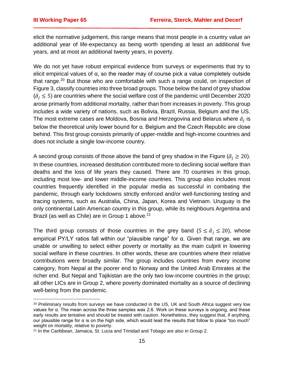elicit the normative judgement, this range means that most people in a country value an additional year of life-expectancy as being worth spending at least an additional five years, and at most an additional twenty years, in poverty.

We do not yet have robust empirical evidence from surveys or experiments that try to elicit empirical values of α, so the reader may of course pick a value completely outside that range.<sup>20</sup> But those who are comfortable with such a range could, on inspection of Figure 3, classify countries into three broad groups. Those below the band of grey shadow  $(\hat{\alpha}_i \leq 5)$  are countries where the social welfare cost of the pandemic until December 2020 arose primarily from additional mortality, rather than from increases in poverty. This group includes a wide variety of nations, such as Bolivia, Brazil, Russia, Belgium and the US. The most extreme cases are Moldova, Bosnia and Herzegovina and Belarus where  $\widehat{\alpha}_j$  is below the theoretical unity lower bound for α. Belgium and the Czech Republic are close behind. This first group consists primarily of upper-middle and high-income countries and does not include a single low-income country.

A second group consists of those above the band of grey shadow in the Figure ( $\hat{\alpha}_i \geq 20$ ). In these countries, increased destitution contributed more to declining social welfare than deaths and the loss of life years they caused. There are 70 countries in this group, including most low- and lower middle-income countries. This group also includes most countries frequently identified in the popular media as successful in combating the pandemic, through early lockdowns strictly enforced and/or well-functioning testing and tracing systems, such as Australia, China, Japan, Korea and Vietnam. Uruguay is the only continental Latin American country in this group, while its neighbours Argentina and Brazil (as well as Chile) are in Group 1 above.<sup>21</sup>

The third group consists of those countries in the grey band ( $5 \le \hat{\alpha}_i \le 20$ ), whose empirical PY/LY ratios fall within our "plausible range" for α. Given that range, we are unable or unwilling to select either poverty or mortality as the main culprit in lowering social welfare in these countries. In other words, these are countries where their relative contributions were broadly similar. The group includes countries from every income category, from Nepal at the poorer end to Norway and the United Arab Emirates at the richer end. But Nepal and Tajikistan are the only two low-income countries in the group; all other LICs are in Group 2, where poverty dominated mortality as a source of declining well-being from the pandemic.

<sup>&</sup>lt;sup>20</sup> Preliminary results from surveys we have conducted in the US, UK and South Africa suggest very low values for α. The mean across the three samples was 2.6. Work on these surveys is ongoing, and these early results are tentative and should be treated with caution. Nonetheless, they suggest that, if anything, our plausible range for α is on the high side, which would lead the results that follow to place "too much" weight on mortality, relative to poverty.

<sup>&</sup>lt;sup>21</sup> In the Caribbean, Jamaica, St. Lucia and Trinidad and Tobago are also in Group 2.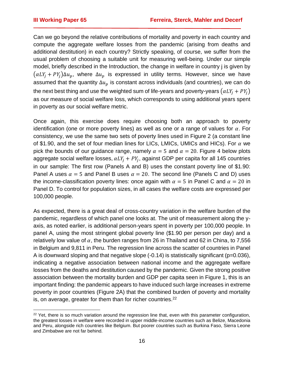Can we go beyond the relative contributions of mortality and poverty in each country and compute the aggregate welfare losses from the pandemic (arising from deaths and additional destitution) in each country? Strictly speaking, of course, we suffer from the usual problem of choosing a suitable unit for measuring well-being. Under our simple model, briefly described in the Introduction, the change in welfare in country j is given by  $(\alpha L Y_i + P Y_i)\Delta u_n$ , where  $\Delta u_n$  is expressed in utility terms. However, since we have assumed that the quantity  $\Delta u_p$  is constant across individuals (and countries), we can do the next best thing and use the weighted sum of life-years and poverty-years  $(\alpha LY_i + PY_i)$ as our measure of social welfare loss, which corresponds to using additional years spent in poverty as our social welfare metric.

Once again, this exercise does require choosing both an approach to poverty identification (one or more poverty lines) as well as one or a range of values for  $\alpha$ . For consistency, we use the same two sets of poverty lines used in Figure 2 (a constant line of \$1.90, and the set of four median lines for LICs, LMICs, UMICs and HICs). For  $\alpha$  we pick the bounds of our guidance range, namely  $\alpha = 5$  and  $\alpha = 20$ . Figure 4 below plots aggregate social welfare losses,  $\alpha L Y_j + P Y_j$ , against GDP per capita for all 145 countries in our sample: The first row (Panels A and B) uses the constant poverty line of \$1.90: Panel A uses  $\alpha = 5$  and Panel B uses  $\alpha = 20$ . The second line (Panels C and D) uses the income-classification poverty lines: once again with  $\alpha = 5$  in Panel C and  $\alpha = 20$  in Panel D. To control for population sizes, in all cases the welfare costs are expressed per 100,000 people.

As expected, there is a great deal of cross-country variation in the welfare burden of the pandemic, regardless of which panel one looks at. The unit of measurement along the yaxis, as noted earlier, is additional person-years spent in poverty per 100,000 people. In panel A, using the most stringent global poverty line (\$1.90 per person per day) and a relatively low value of  $\alpha$ , the burden ranges from 26 in Thailand and 62 in China, to 7,556 in Belgium and 9,811 in Peru. The regression line across the scatter of countries in Panel A is downward sloping and that negative slope (-0.14) is statistically significant (p=0.036), indicating a negative association between national income and the aggregate welfare losses from the deaths and destitution caused by the pandemic. Given the strong positive association between the mortality burden and GDP per capita seen in Figure 1, this is an important finding: the pandemic appears to have induced such large increases in extreme poverty in poor countries (Figure 2A) that the combined burden of poverty and mortality is, on average, greater for them than for richer countries.<sup>22</sup>

<sup>&</sup>lt;sup>22</sup> Yet, there is so much variation around the regression line that, even with this parameter configuration, the greatest losses in welfare were recorded in upper middle-income countries such as Belize, Macedonia and Peru, alongside rich countries like Belgium. But poorer countries such as Burkina Faso, Sierra Leone and Zimbabwe are not far behind.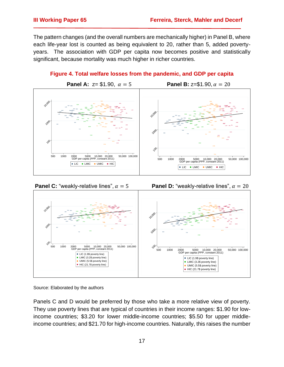The pattern changes (and the overall numbers are mechanically higher) in Panel B, where each life-year lost is counted as being equivalent to 20, rather than 5, added povertyyears. The association with GDP per capita now becomes positive and statistically significant, because mortality was much higher in richer countries.



**Figure 4. Total welfare losses from the pandemic, and GDP per capita**





Source: Elaborated by the authors

Panels C and D would be preferred by those who take a more relative view of poverty. They use poverty lines that are typical of countries in their income ranges: \$1.90 for lowincome countries; \$3.20 for lower middle-income countries; \$5.50 for upper middleincome countries; and \$21.70 for high-income countries. Naturally, this raises the number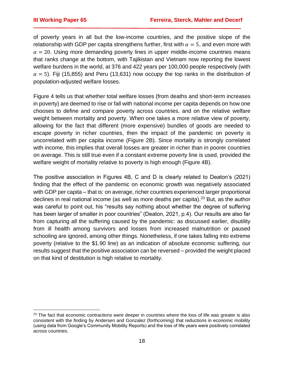of poverty years in all but the low-income countries, and the positive slope of the relationship with GDP per capita strengthens further, first with  $\alpha = 5$ , and even more with  $\alpha = 20$ . Using more demanding poverty lines in upper middle-income countries means that ranks change at the bottom, with Tajikistan and Vietnam now reporting the lowest welfare burdens in the world, at 376 and 422 years per 100,000 people respectively (with  $\alpha = 5$ ). Fiji (15,855) and Peru (13,631) now occupy the top ranks in the distribution of population-adjusted welfare losses.

Figure 4 tells us that whether total welfare losses (from deaths and short-term increases in poverty) are deemed to rise or fall with national income per capita depends on how one chooses to define and compare poverty across countries, and on the relative welfare weight between mortality and poverty. When one takes a more relative view of poverty, allowing for the fact that different (more expensive) bundles of goods are needed to escape poverty in richer countries, then the impact of the pandemic on poverty is uncorrelated with per capita income (Figure 2B). Since mortality is strongly correlated with income, this implies that overall losses are greater in richer than in poorer countries on average. This is still true even if a constant extreme poverty line is used, provided the welfare weight of mortality relative to poverty is high enough (Figure 4B).

The positive association in Figures 4B, C and D is clearly related to Deaton's (2021) finding that the effect of the pandemic on economic growth was negatively associated with GDP per capita – that is: on average, richer countries experienced larger proportional declines in real national income (as well as more deaths per capita).<sup>23</sup> But, as the author was careful to point out, his "results say nothing about whether the degree of suffering has been larger of smaller in poor countries" (Deaton, 2021, p.4). Our results are also far from capturing all the suffering caused by the pandemic: as discussed earlier, disutility from ill health among survivors and losses from increased malnutrition or paused schooling are ignored, among other things. Nonetheless, if one takes falling into extreme poverty (relative to the \$1.90 line) as an indication of absolute economic suffering, our results suggest that the positive association can be reversed – provided the weight placed on that kind of destitution is high relative to mortality.

 $23$  The fact that economic contractions were deeper in countries where the loss of life was greater is also consistent with the finding by Andersen and Gonzalez (forthcoming) that reductions in economic mobility (using data from Google's Community Mobility Reports) and the loss of life years were positively correlated across countries.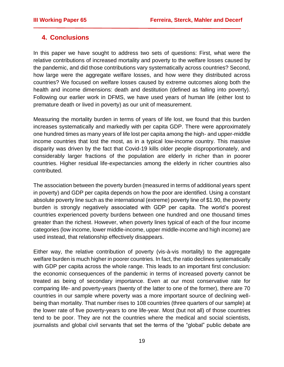# **4. Conclusions**

In this paper we have sought to address two sets of questions: First, what were the relative contributions of increased mortality and poverty to the welfare losses caused by the pandemic, and did those contributions vary systematically across countries? Second, how large were the aggregate welfare losses, and how were they distributed across countries? We focused on welfare losses caused by extreme outcomes along both the health and income dimensions: death and destitution (defined as falling into poverty). Following our earlier work in DFMS, we have used years of human life (either lost to premature death or lived in poverty) as our unit of measurement.

Measuring the mortality burden in terms of years of life lost, we found that this burden increases systematically and markedly with per capita GDP. There were approximately one hundred times as many years of life lost per capita among the high- and upper-middle income countries that lost the most, as in a typical low-income country. This massive disparity was driven by the fact that Covid-19 kills older people disproportionately, and considerably larger fractions of the population are elderly in richer than in poorer countries. Higher residual life-expectancies among the elderly in richer countries also contributed.

The association between the poverty burden (measured in terms of additional years spent in poverty) and GDP per capita depends on how the poor are identified. Using a constant absolute poverty line such as the international (extreme) poverty line of \$1.90, the poverty burden is strongly negatively associated with GDP per capita. The world's poorest countries experienced poverty burdens between one hundred and one thousand times greater than the richest. However, when poverty lines typical of each of the four income categories (low income, lower middle-income, upper middle-income and high income) are used instead, that relationship effectively disappears.

Either way, the relative contribution of poverty (vis-à-vis mortality) to the aggregate welfare burden is much higher in poorer countries. In fact, the ratio declines systematically with GDP per capita across the whole range. This leads to an important first conclusion: the economic consequences of the pandemic in terms of increased poverty cannot be treated as being of secondary importance. Even at our most conservative rate for comparing life- and poverty-years (twenty of the latter to one of the former), there are 70 countries in our sample where poverty was a more important source of declining wellbeing than mortality. That number rises to 108 countries (three quarters of our sample) at the lower rate of five poverty-years to one life-year. Most (but not all) of those countries tend to be poor. They are not the countries where the medical and social scientists, journalists and global civil servants that set the terms of the "global" public debate are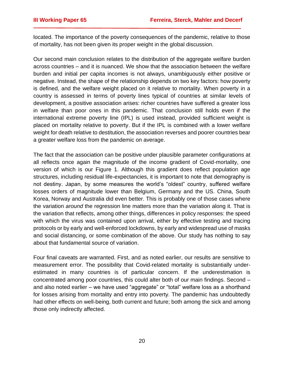located. The importance of the poverty consequences of the pandemic, relative to those of mortality, has not been given its proper weight in the global discussion.

Our second main conclusion relates to the distribution of the aggregate welfare burden across countries – and it is nuanced. We show that the association between the welfare burden and initial per capita incomes is not always, unambiguously either positive or negative. Instead, the shape of the relationship depends on two key factors: how poverty is defined, and the welfare weight placed on it relative to mortality. When poverty in a country is assessed in terms of poverty lines typical of countries at similar levels of development, a positive association arises: richer countries have suffered a greater loss in welfare than poor ones in this pandemic. That conclusion still holds even if the international extreme poverty line (IPL) is used instead, provided sufficient weight is placed on mortality relative to poverty. But if the IPL is combined with a lower welfare weight for death relative to destitution, the association reverses and poorer countries bear a greater welfare loss from the pandemic on average.

The fact that the association can be positive under plausible parameter configurations at all reflects once again the magnitude of the income gradient of Covid-mortality, one version of which is our Figure 1. Although this gradient does reflect population age structures, including residual life-expectancies, it is important to note that demography is not destiny. Japan, by some measures the world's "oldest" country, suffered welfare losses orders of magnitude lower than Belgium, Germany and the US. China, South Korea, Norway and Australia did even better. This is probably one of those cases where the variation *around* the regression line matters more than the variation along it. That is the variation that reflects, among other things, differences in policy responses: the speed with which the virus was contained upon arrival, either by effective testing and tracing protocols or by early and well-enforced lockdowns, by early and widespread use of masks and social distancing, or some combination of the above. Our study has nothing to say about that fundamental source of variation.

Four final caveats are warranted. First, and as noted earlier, our results are sensitive to measurement error. The possibility that Covid-related mortality is substantially underestimated in many countries is of particular concern. If the underestimation is concentrated among poor countries, this could alter both of our main findings. Second – and also noted earlier – we have used "aggregate" or "total" welfare loss as a shorthand for losses arising from mortality and entry into poverty. The pandemic has undoubtedly had other effects on well-being, both current and future; both among the sick and among those only indirectly affected.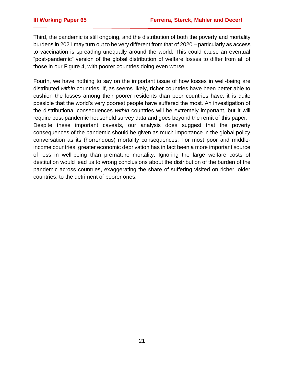Third, the pandemic is still ongoing, and the distribution of both the poverty and mortality burdens in 2021 may turn out to be very different from that of 2020 – particularly as access to vaccination is spreading unequally around the world. This could cause an eventual "post-pandemic" version of the global distribution of welfare losses to differ from all of those in our Figure 4, with poorer countries doing even worse.

Fourth, we have nothing to say on the important issue of how losses in well-being are distributed *within* countries. If, as seems likely, richer countries have been better able to cushion the losses among their poorer residents than poor countries have, it is quite possible that the world's very poorest people have suffered the most. An investigation of the distributional consequences *within* countries will be extremely important, but it will require post-pandemic household survey data and goes beyond the remit of this paper. Despite these important caveats, our analysis does suggest that the poverty consequences of the pandemic should be given as much importance in the global policy conversation as its (horrendous) mortality consequences. For most poor and middleincome countries, greater economic deprivation has in fact been a more important source of loss in well-being than premature mortality. Ignoring the large welfare costs of destitution would lead us to wrong conclusions about the distribution of the burden of the pandemic across countries, exaggerating the share of suffering visited on richer, older countries, to the detriment of poorer ones.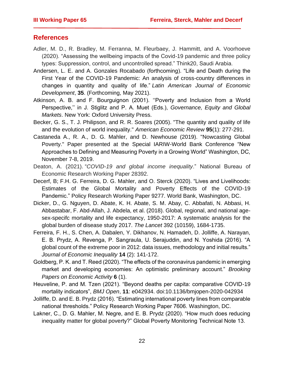## **References**

- Adler, M. D., R. Bradley, M. Ferranna, M. Fleurbaey, J. Hammitt, and A. Voorhoeve (2020). "Assessing the wellbeing impacts of the Covid-19 pandemic and three policy types: Suppression, control, and uncontrolled spread." Think20, Saudi Arabia.
- Andersen, L. E. and A. Gonzales Rocabado (forthcoming). "Life and Death during the First Year of the COVID-19 Pandemic: An analysis of cross-country differences in changes in quantity and quality of life." *Latin American Journal of Economic Development*, **35**. (Forthcoming, May 2021).
- Atkinson, A. B. and F. Bourguignon (2001). ''Poverty and Inclusion from a World Perspective,'' in J. Stiglitz and P. A. Muet (Eds.), *Governance, Equity and Global Markets*. New York: Oxford University Press.
- Becker, G. S., T. J. Philipson, and R. R. Soares (2005). "The quantity and quality of life and the evolution of world inequality." *American Economic Review* **95**(1): 277-291.
- Castaneda A., R. A., D. G. Mahler, and D. Newhouse (2019). "Nowcasting Global Poverty." Paper presented at the Special IARIW-World Bank Conference "New Approaches to Defining and Measuring Poverty in a Growing World" Washington, DC, November 7-8, 2019.
- Deaton, A. (2021). "*COVID-19 and global income inequality*." National Bureau of Economic Research Working Paper 28392.
- Decerf, B; F.H. G. Ferreira, D. G. Mahler, and O. Sterck (2020). "Lives and Livelihoods: Estimates of the Global Mortality and Poverty Effects of the COVID-19 Pandemic." Policy Research Working Paper 9277. World Bank, Washington, DC.
- Dicker, D., G. Nguyen, D. Abate, K. H. Abate, S. M. Abay, C. Abbafati, N. Abbasi, H. Abbastabar, F. Abd-Allah, J. Abdela, et al. (2018). Global, regional, and national agesex-specifc mortality and life expectancy, 1950-2017: A systematic analysis for the global burden of disease study 2017. *The Lancet* 392 (10159), 1684-1735.
- Ferreira, F. H., S. Chen, A. Dabalen, Y. Dikhanov, N. Hamadeh, D. Jolliffe, A. Narayan, E. B. Prydz, A. Revenga, P. Sangraula, U. Serajuddin, and N. Yoshida (2016). "A global count of the extreme poor in 2012: data issues, methodology and initial results." *Journal of Economic Inequality* **14** (2): 141-172.
- Goldberg, P. K. and T. Reed (2020). "The effects of the coronavirus pandemic in emerging market and developing economies: An optimistic preliminary account." *Brooking Papers on Economic Activity* **6** (1).
- Heuveline, P. and M. Tzen (2021). "Beyond deaths per capita: comparative COVID-19 mortality indicators", *BMJ Open*, **11**: e042934. doi:10.1136/bmjopen-2020-042934
- Jolliffe, D. and E. B. Prydz (2016). "Estimating international poverty lines from comparable national thresholds." Policy Research Working Paper 7606. Washington, DC.
- Lakner, C., D. G. Mahler, M. Negre, and E. B. Prydz (2020). "How much does reducing inequality matter for global poverty?" Global Poverty Monitoring Technical Note 13.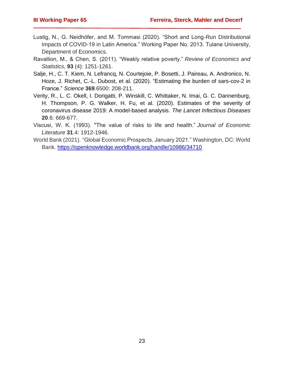- Lustig, N., G. Neidhöfer, and M. Tommasi (2020). "Short and Long-Run Distributional Impacts of COVID-19 in Latin America." Working Paper No. 2013. Tulane University, Department of Economics.
- Ravallion, M., & Chen, S. (2011). "Weakly relative poverty." *Review of Economics and Statistics*, **93** (4): 1251-1261.
- Salje, H., C. T. Kiem, N. Lefrancq, N. Courtejoie, P. Bosetti, J. Paireau, A. Andronico, N. Hoze, J. Richet, C.-L. Dubost, et al. (2020). "Estimating the burden of sars-cov-2 in France." *Science* **369**.6500: 208-211.
- Verity, R., L. C. Okell, I. Dorigatti, P. Winskill, C. Whittaker, N. Imai, G. C. Dannenburg, H. Thompson, P. G. Walker, H. Fu, et al. (2020). Estimates of the severity of coronavirus disease 2019: A model-based analysis. *The Lancet Infectious Diseases* **20**.6: 669-677.
- Viscusi, W. K. (1993). "The value of risks to life and health." *Journal of Economic Literature* **31**.4: 1912-1946.
- World Bank (2021). "Global Economic Prospects, January 2021." Washington, DC: World Bank.<https://openknowledge.worldbank.org/handle/10986/34710>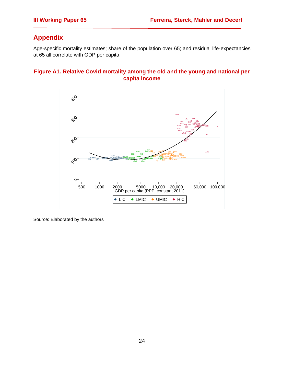# **Appendix**

Age-specific mortality estimates; share of the population over 65; and residual life-expectancies at 65 all correlate with GDP per capita

#### **Figure A1. Relative Covid mortality among the old and the young and national per capita income**



Source: Elaborated by the authors